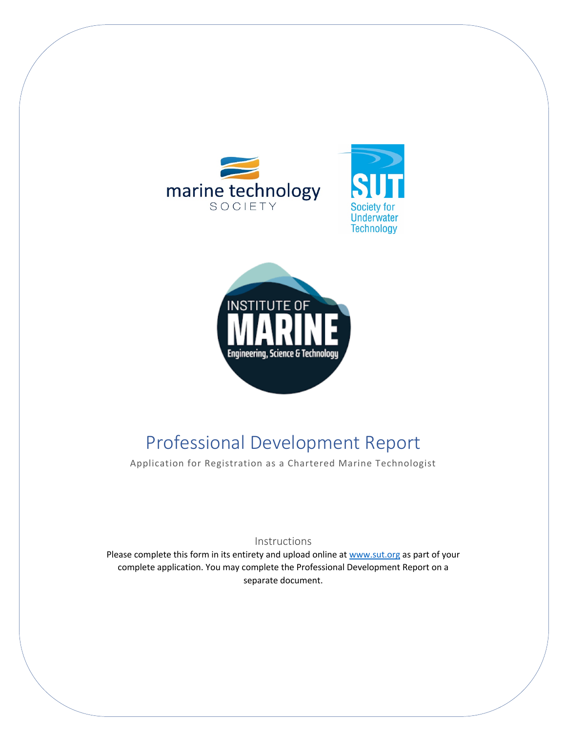





# Professional Development Report

Application for Registration as a Chartered Marine Technologist

#### Instructions

Please complete this form in its entirety and upload online at www.sut.org as part of your complete application. You may complete the Professional Development Report on a separate document.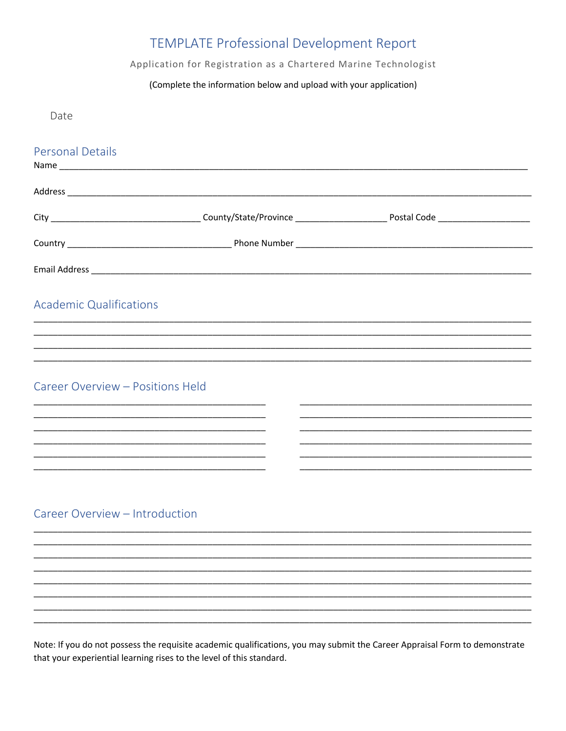# TEMPLATE Professional Development Report

#### Application for Registration as a Chartered Marine Technologist

#### (Complete the information below and upload with your application)

Date

| <b>Personal Details</b>          |  |
|----------------------------------|--|
|                                  |  |
|                                  |  |
|                                  |  |
|                                  |  |
| <b>Academic Qualifications</b>   |  |
|                                  |  |
|                                  |  |
| Career Overview - Positions Held |  |
|                                  |  |
|                                  |  |
|                                  |  |
|                                  |  |
| Career Overview - Introduction   |  |
|                                  |  |
|                                  |  |
|                                  |  |
|                                  |  |
|                                  |  |

Note: If you do not possess the requisite academic qualifications, you may submit the Career Appraisal Form to demonstrate that your experiential learning rises to the level of this standard.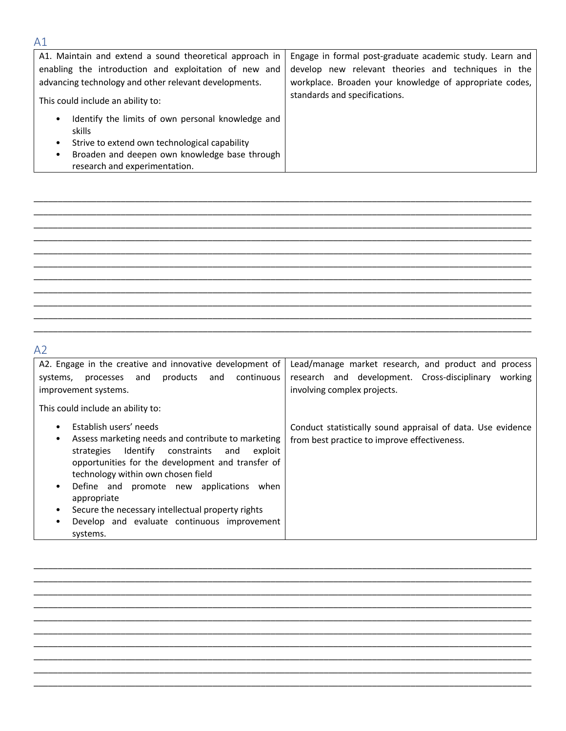| A1                                                                                                                                                                                                                                                                                                                                                                              |                                                                                                                                                                                                             |
|---------------------------------------------------------------------------------------------------------------------------------------------------------------------------------------------------------------------------------------------------------------------------------------------------------------------------------------------------------------------------------|-------------------------------------------------------------------------------------------------------------------------------------------------------------------------------------------------------------|
| A1. Maintain and extend a sound theoretical approach in<br>enabling the introduction and exploitation of new and<br>advancing technology and other relevant developments.<br>This could include an ability to:<br>Identify the limits of own personal knowledge and<br>skills<br>Strive to extend own technological capability<br>Broaden and deepen own knowledge base through | Engage in formal post-graduate academic study. Learn and<br>develop new relevant theories and techniques in the<br>workplace. Broaden your knowledge of appropriate codes,<br>standards and specifications. |
| research and experimentation.                                                                                                                                                                                                                                                                                                                                                   |                                                                                                                                                                                                             |

\_\_\_\_\_\_\_\_\_\_\_\_\_\_\_\_\_\_\_\_\_\_\_\_\_\_\_\_\_\_\_\_\_\_\_\_\_\_\_\_\_\_\_\_\_\_\_\_\_\_\_\_\_\_\_\_\_\_\_\_\_\_\_\_\_\_\_\_\_\_\_\_\_\_\_\_\_\_\_\_\_\_\_\_\_\_\_\_\_\_\_\_\_\_\_\_\_\_\_\_\_\_\_ \_\_\_\_\_\_\_\_\_\_\_\_\_\_\_\_\_\_\_\_\_\_\_\_\_\_\_\_\_\_\_\_\_\_\_\_\_\_\_\_\_\_\_\_\_\_\_\_\_\_\_\_\_\_\_\_\_\_\_\_\_\_\_\_\_\_\_\_\_\_\_\_\_\_\_\_\_\_\_\_\_\_\_\_\_\_\_\_\_\_\_\_\_\_\_\_\_\_\_\_\_\_\_  $\_$  , and the set of the set of the set of the set of the set of the set of the set of the set of the set of the set of the set of the set of the set of the set of the set of the set of the set of the set of the set of th \_\_\_\_\_\_\_\_\_\_\_\_\_\_\_\_\_\_\_\_\_\_\_\_\_\_\_\_\_\_\_\_\_\_\_\_\_\_\_\_\_\_\_\_\_\_\_\_\_\_\_\_\_\_\_\_\_\_\_\_\_\_\_\_\_\_\_\_\_\_\_\_\_\_\_\_\_\_\_\_\_\_\_\_\_\_\_\_\_\_\_\_\_\_\_\_\_\_\_\_\_\_\_  $\_$  , and the set of the set of the set of the set of the set of the set of the set of the set of the set of the set of the set of the set of the set of the set of the set of the set of the set of the set of the set of th \_\_\_\_\_\_\_\_\_\_\_\_\_\_\_\_\_\_\_\_\_\_\_\_\_\_\_\_\_\_\_\_\_\_\_\_\_\_\_\_\_\_\_\_\_\_\_\_\_\_\_\_\_\_\_\_\_\_\_\_\_\_\_\_\_\_\_\_\_\_\_\_\_\_\_\_\_\_\_\_\_\_\_\_\_\_\_\_\_\_\_\_\_\_\_\_\_\_\_\_\_\_\_ \_\_\_\_\_\_\_\_\_\_\_\_\_\_\_\_\_\_\_\_\_\_\_\_\_\_\_\_\_\_\_\_\_\_\_\_\_\_\_\_\_\_\_\_\_\_\_\_\_\_\_\_\_\_\_\_\_\_\_\_\_\_\_\_\_\_\_\_\_\_\_\_\_\_\_\_\_\_\_\_\_\_\_\_\_\_\_\_\_\_\_\_\_\_\_\_\_\_\_\_\_\_\_ \_\_\_\_\_\_\_\_\_\_\_\_\_\_\_\_\_\_\_\_\_\_\_\_\_\_\_\_\_\_\_\_\_\_\_\_\_\_\_\_\_\_\_\_\_\_\_\_\_\_\_\_\_\_\_\_\_\_\_\_\_\_\_\_\_\_\_\_\_\_\_\_\_\_\_\_\_\_\_\_\_\_\_\_\_\_\_\_\_\_\_\_\_\_\_\_\_\_\_\_\_\_\_ \_\_\_\_\_\_\_\_\_\_\_\_\_\_\_\_\_\_\_\_\_\_\_\_\_\_\_\_\_\_\_\_\_\_\_\_\_\_\_\_\_\_\_\_\_\_\_\_\_\_\_\_\_\_\_\_\_\_\_\_\_\_\_\_\_\_\_\_\_\_\_\_\_\_\_\_\_\_\_\_\_\_\_\_\_\_\_\_\_\_\_\_\_\_\_\_\_\_\_\_\_\_\_  $\_$  , and the set of the set of the set of the set of the set of the set of the set of the set of the set of the set of the set of the set of the set of the set of the set of the set of the set of the set of the set of th  $\_$  , and the set of the set of the set of the set of the set of the set of the set of the set of the set of the set of the set of the set of the set of the set of the set of the set of the set of the set of the set of th

### A2

| A2. Engage in the creative and innovative development of<br>processes and products and continuous<br>systems,<br>improvement systems.                                                                                                                                                                                                                                                                                                                                     | Lead/manage market research, and product and process<br>research and development. Cross-disciplinary<br>working<br>involving complex projects. |
|---------------------------------------------------------------------------------------------------------------------------------------------------------------------------------------------------------------------------------------------------------------------------------------------------------------------------------------------------------------------------------------------------------------------------------------------------------------------------|------------------------------------------------------------------------------------------------------------------------------------------------|
| This could include an ability to:                                                                                                                                                                                                                                                                                                                                                                                                                                         |                                                                                                                                                |
| Establish users' needs<br>$\bullet$<br>Assess marketing needs and contribute to marketing<br>$\bullet$<br>Identify<br>constraints<br>and<br>strategies<br>exploit<br>opportunities for the development and transfer of<br>technology within own chosen field<br>Define and promote new applications<br>when<br>$\bullet$<br>appropriate<br>Secure the necessary intellectual property rights<br>٠<br>Develop and evaluate continuous improvement<br>$\bullet$<br>systems. | Conduct statistically sound appraisal of data. Use evidence<br>from best practice to improve effectiveness.                                    |

\_\_\_\_\_\_\_\_\_\_\_\_\_\_\_\_\_\_\_\_\_\_\_\_\_\_\_\_\_\_\_\_\_\_\_\_\_\_\_\_\_\_\_\_\_\_\_\_\_\_\_\_\_\_\_\_\_\_\_\_\_\_\_\_\_\_\_\_\_\_\_\_\_\_\_\_\_\_\_\_\_\_\_\_\_\_\_\_\_\_\_\_\_\_\_\_\_\_\_\_\_\_\_ \_\_\_\_\_\_\_\_\_\_\_\_\_\_\_\_\_\_\_\_\_\_\_\_\_\_\_\_\_\_\_\_\_\_\_\_\_\_\_\_\_\_\_\_\_\_\_\_\_\_\_\_\_\_\_\_\_\_\_\_\_\_\_\_\_\_\_\_\_\_\_\_\_\_\_\_\_\_\_\_\_\_\_\_\_\_\_\_\_\_\_\_\_\_\_\_\_\_\_\_\_\_\_ \_\_\_\_\_\_\_\_\_\_\_\_\_\_\_\_\_\_\_\_\_\_\_\_\_\_\_\_\_\_\_\_\_\_\_\_\_\_\_\_\_\_\_\_\_\_\_\_\_\_\_\_\_\_\_\_\_\_\_\_\_\_\_\_\_\_\_\_\_\_\_\_\_\_\_\_\_\_\_\_\_\_\_\_\_\_\_\_\_\_\_\_\_\_\_\_\_\_\_\_\_\_\_ \_\_\_\_\_\_\_\_\_\_\_\_\_\_\_\_\_\_\_\_\_\_\_\_\_\_\_\_\_\_\_\_\_\_\_\_\_\_\_\_\_\_\_\_\_\_\_\_\_\_\_\_\_\_\_\_\_\_\_\_\_\_\_\_\_\_\_\_\_\_\_\_\_\_\_\_\_\_\_\_\_\_\_\_\_\_\_\_\_\_\_\_\_\_\_\_\_\_\_\_\_\_\_  $\_$  , and the set of the set of the set of the set of the set of the set of the set of the set of the set of the set of the set of the set of the set of the set of the set of the set of the set of the set of the set of th \_\_\_\_\_\_\_\_\_\_\_\_\_\_\_\_\_\_\_\_\_\_\_\_\_\_\_\_\_\_\_\_\_\_\_\_\_\_\_\_\_\_\_\_\_\_\_\_\_\_\_\_\_\_\_\_\_\_\_\_\_\_\_\_\_\_\_\_\_\_\_\_\_\_\_\_\_\_\_\_\_\_\_\_\_\_\_\_\_\_\_\_\_\_\_\_\_\_\_\_\_\_\_  $\_$  , and the set of the set of the set of the set of the set of the set of the set of the set of the set of the set of the set of the set of the set of the set of the set of the set of the set of the set of the set of th \_\_\_\_\_\_\_\_\_\_\_\_\_\_\_\_\_\_\_\_\_\_\_\_\_\_\_\_\_\_\_\_\_\_\_\_\_\_\_\_\_\_\_\_\_\_\_\_\_\_\_\_\_\_\_\_\_\_\_\_\_\_\_\_\_\_\_\_\_\_\_\_\_\_\_\_\_\_\_\_\_\_\_\_\_\_\_\_\_\_\_\_\_\_\_\_\_\_\_\_\_\_\_ \_\_\_\_\_\_\_\_\_\_\_\_\_\_\_\_\_\_\_\_\_\_\_\_\_\_\_\_\_\_\_\_\_\_\_\_\_\_\_\_\_\_\_\_\_\_\_\_\_\_\_\_\_\_\_\_\_\_\_\_\_\_\_\_\_\_\_\_\_\_\_\_\_\_\_\_\_\_\_\_\_\_\_\_\_\_\_\_\_\_\_\_\_\_\_\_\_\_\_\_\_\_\_ \_\_\_\_\_\_\_\_\_\_\_\_\_\_\_\_\_\_\_\_\_\_\_\_\_\_\_\_\_\_\_\_\_\_\_\_\_\_\_\_\_\_\_\_\_\_\_\_\_\_\_\_\_\_\_\_\_\_\_\_\_\_\_\_\_\_\_\_\_\_\_\_\_\_\_\_\_\_\_\_\_\_\_\_\_\_\_\_\_\_\_\_\_\_\_\_\_\_\_\_\_\_\_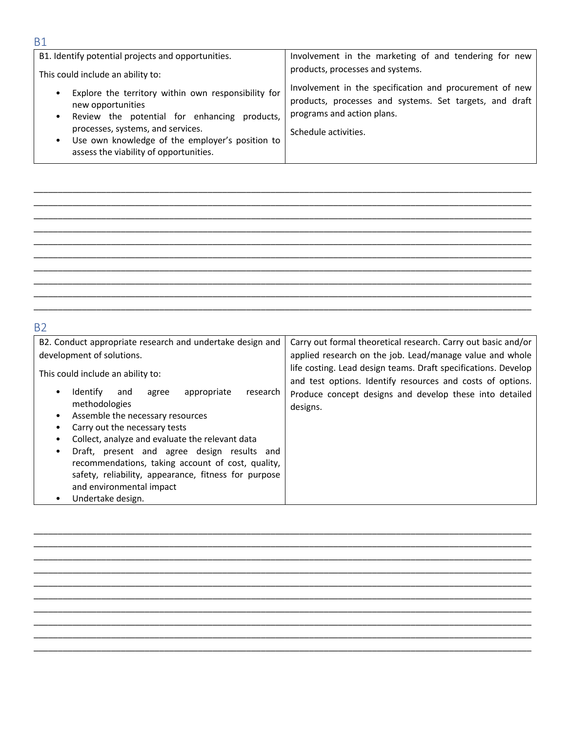| B1. Identify potential projects and opportunities.                                                                                                                                                                                                                 | Involvement in the marketing of and tendering for new                                                                                                                                                        |
|--------------------------------------------------------------------------------------------------------------------------------------------------------------------------------------------------------------------------------------------------------------------|--------------------------------------------------------------------------------------------------------------------------------------------------------------------------------------------------------------|
| This could include an ability to:<br>Explore the territory within own responsibility for<br>new opportunities<br>Review the potential for enhancing products,<br>$\bullet$<br>processes, systems, and services.<br>Use own knowledge of the employer's position to | products, processes and systems.<br>Involvement in the specification and procurement of new<br>products, processes and systems. Set targets, and draft<br>programs and action plans.<br>Schedule activities. |
| assess the viability of opportunities.                                                                                                                                                                                                                             |                                                                                                                                                                                                              |

\_\_\_\_\_\_\_\_\_\_\_\_\_\_\_\_\_\_\_\_\_\_\_\_\_\_\_\_\_\_\_\_\_\_\_\_\_\_\_\_\_\_\_\_\_\_\_\_\_\_\_\_\_\_\_\_\_\_\_\_\_\_\_\_\_\_\_\_\_\_\_\_\_\_\_\_\_\_\_\_\_\_\_\_\_\_\_\_\_\_\_\_\_\_\_\_\_\_\_\_\_\_\_  $\_$  , and the set of the set of the set of the set of the set of the set of the set of the set of the set of the set of the set of the set of the set of the set of the set of the set of the set of the set of the set of th \_\_\_\_\_\_\_\_\_\_\_\_\_\_\_\_\_\_\_\_\_\_\_\_\_\_\_\_\_\_\_\_\_\_\_\_\_\_\_\_\_\_\_\_\_\_\_\_\_\_\_\_\_\_\_\_\_\_\_\_\_\_\_\_\_\_\_\_\_\_\_\_\_\_\_\_\_\_\_\_\_\_\_\_\_\_\_\_\_\_\_\_\_\_\_\_\_\_\_\_\_\_\_ \_\_\_\_\_\_\_\_\_\_\_\_\_\_\_\_\_\_\_\_\_\_\_\_\_\_\_\_\_\_\_\_\_\_\_\_\_\_\_\_\_\_\_\_\_\_\_\_\_\_\_\_\_\_\_\_\_\_\_\_\_\_\_\_\_\_\_\_\_\_\_\_\_\_\_\_\_\_\_\_\_\_\_\_\_\_\_\_\_\_\_\_\_\_\_\_\_\_\_\_\_\_\_ \_\_\_\_\_\_\_\_\_\_\_\_\_\_\_\_\_\_\_\_\_\_\_\_\_\_\_\_\_\_\_\_\_\_\_\_\_\_\_\_\_\_\_\_\_\_\_\_\_\_\_\_\_\_\_\_\_\_\_\_\_\_\_\_\_\_\_\_\_\_\_\_\_\_\_\_\_\_\_\_\_\_\_\_\_\_\_\_\_\_\_\_\_\_\_\_\_\_\_\_\_\_\_ \_\_\_\_\_\_\_\_\_\_\_\_\_\_\_\_\_\_\_\_\_\_\_\_\_\_\_\_\_\_\_\_\_\_\_\_\_\_\_\_\_\_\_\_\_\_\_\_\_\_\_\_\_\_\_\_\_\_\_\_\_\_\_\_\_\_\_\_\_\_\_\_\_\_\_\_\_\_\_\_\_\_\_\_\_\_\_\_\_\_\_\_\_\_\_\_\_\_\_\_\_\_\_ \_\_\_\_\_\_\_\_\_\_\_\_\_\_\_\_\_\_\_\_\_\_\_\_\_\_\_\_\_\_\_\_\_\_\_\_\_\_\_\_\_\_\_\_\_\_\_\_\_\_\_\_\_\_\_\_\_\_\_\_\_\_\_\_\_\_\_\_\_\_\_\_\_\_\_\_\_\_\_\_\_\_\_\_\_\_\_\_\_\_\_\_\_\_\_\_\_\_\_\_\_\_\_  $\_$  , and the set of the set of the set of the set of the set of the set of the set of the set of the set of the set of the set of the set of the set of the set of the set of the set of the set of the set of the set of th  $\_$  , and the set of the set of the set of the set of the set of the set of the set of the set of the set of the set of the set of the set of the set of the set of the set of the set of the set of the set of the set of th  $\_$  , and the set of the set of the set of the set of the set of the set of the set of the set of the set of the set of the set of the set of the set of the set of the set of the set of the set of the set of the set of th

|         | .,<br>w |
|---------|---------|
| n ve    |         |
| I<br>۰, |         |

| B2. Conduct appropriate research and undertake design and                                                                                                                            | Carry out formal theoretical research. Carry out basic and/or                                                                                                                           |
|--------------------------------------------------------------------------------------------------------------------------------------------------------------------------------------|-----------------------------------------------------------------------------------------------------------------------------------------------------------------------------------------|
| development of solutions.                                                                                                                                                            | applied research on the job. Lead/manage value and whole                                                                                                                                |
| This could include an ability to:<br>appropriate<br>research<br>Identify<br>and<br>agree                                                                                             | life costing. Lead design teams. Draft specifications. Develop<br>and test options. Identify resources and costs of options.<br>Produce concept designs and develop these into detailed |
| methodologies                                                                                                                                                                        | designs.                                                                                                                                                                                |
| Assemble the necessary resources                                                                                                                                                     |                                                                                                                                                                                         |
| Carry out the necessary tests                                                                                                                                                        |                                                                                                                                                                                         |
| Collect, analyze and evaluate the relevant data                                                                                                                                      |                                                                                                                                                                                         |
| Draft, present and agree design results and<br>recommendations, taking account of cost, quality,<br>safety, reliability, appearance, fitness for purpose<br>and environmental impact |                                                                                                                                                                                         |
| Undertake design.                                                                                                                                                                    |                                                                                                                                                                                         |



#### B1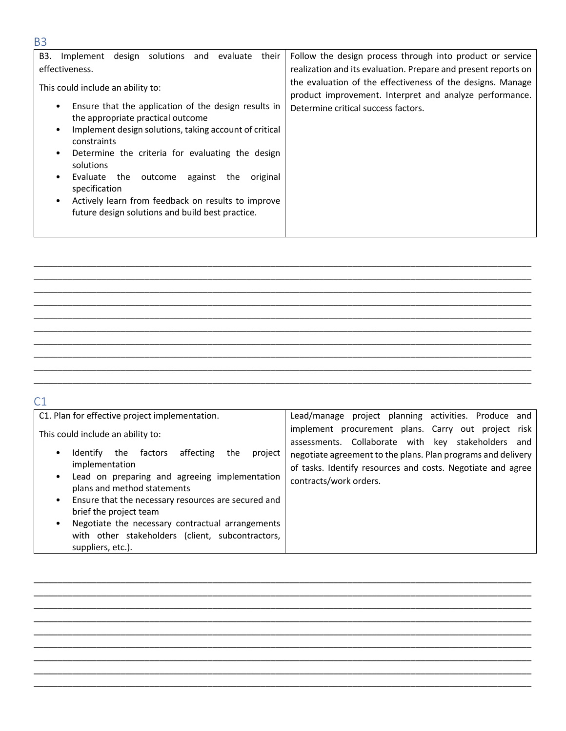| B3.<br>design<br>solutions<br>evaluate<br>and<br>their<br>Implement<br>effectiveness.                                                                                                                                                                                                                                                                                                                                                                                                                                            | Follow the design process through into product or service<br>realization and its evaluation. Prepare and present reports on                                  |
|----------------------------------------------------------------------------------------------------------------------------------------------------------------------------------------------------------------------------------------------------------------------------------------------------------------------------------------------------------------------------------------------------------------------------------------------------------------------------------------------------------------------------------|--------------------------------------------------------------------------------------------------------------------------------------------------------------|
| This could include an ability to:<br>Ensure that the application of the design results in<br>$\bullet$<br>the appropriate practical outcome<br>Implement design solutions, taking account of critical<br>$\bullet$<br>constraints<br>Determine the criteria for evaluating the design<br>$\bullet$<br>solutions<br>against<br>the<br>the<br>original<br>Evaluate<br>outcome<br>$\bullet$<br>specification<br>Actively learn from feedback on results to improve<br>$\bullet$<br>future design solutions and build best practice. | the evaluation of the effectiveness of the designs. Manage<br>product improvement. Interpret and analyze performance.<br>Determine critical success factors. |

\_\_\_\_\_\_\_\_\_\_\_\_\_\_\_\_\_\_\_\_\_\_\_\_\_\_\_\_\_\_\_\_\_\_\_\_\_\_\_\_\_\_\_\_\_\_\_\_\_\_\_\_\_\_\_\_\_\_\_\_\_\_\_\_\_\_\_\_\_\_\_\_\_\_\_\_\_\_\_\_\_\_\_\_\_\_\_\_\_\_\_\_\_\_\_\_\_\_\_\_\_\_\_ \_\_\_\_\_\_\_\_\_\_\_\_\_\_\_\_\_\_\_\_\_\_\_\_\_\_\_\_\_\_\_\_\_\_\_\_\_\_\_\_\_\_\_\_\_\_\_\_\_\_\_\_\_\_\_\_\_\_\_\_\_\_\_\_\_\_\_\_\_\_\_\_\_\_\_\_\_\_\_\_\_\_\_\_\_\_\_\_\_\_\_\_\_\_\_\_\_\_\_\_\_\_\_  $\_$  , and the set of the set of the set of the set of the set of the set of the set of the set of the set of the set of the set of the set of the set of the set of the set of the set of the set of the set of the set of th  $\_$  , and the set of the set of the set of the set of the set of the set of the set of the set of the set of the set of the set of the set of the set of the set of the set of the set of the set of the set of the set of th \_\_\_\_\_\_\_\_\_\_\_\_\_\_\_\_\_\_\_\_\_\_\_\_\_\_\_\_\_\_\_\_\_\_\_\_\_\_\_\_\_\_\_\_\_\_\_\_\_\_\_\_\_\_\_\_\_\_\_\_\_\_\_\_\_\_\_\_\_\_\_\_\_\_\_\_\_\_\_\_\_\_\_\_\_\_\_\_\_\_\_\_\_\_\_\_\_\_\_\_\_\_\_ \_\_\_\_\_\_\_\_\_\_\_\_\_\_\_\_\_\_\_\_\_\_\_\_\_\_\_\_\_\_\_\_\_\_\_\_\_\_\_\_\_\_\_\_\_\_\_\_\_\_\_\_\_\_\_\_\_\_\_\_\_\_\_\_\_\_\_\_\_\_\_\_\_\_\_\_\_\_\_\_\_\_\_\_\_\_\_\_\_\_\_\_\_\_\_\_\_\_\_\_\_\_\_ \_\_\_\_\_\_\_\_\_\_\_\_\_\_\_\_\_\_\_\_\_\_\_\_\_\_\_\_\_\_\_\_\_\_\_\_\_\_\_\_\_\_\_\_\_\_\_\_\_\_\_\_\_\_\_\_\_\_\_\_\_\_\_\_\_\_\_\_\_\_\_\_\_\_\_\_\_\_\_\_\_\_\_\_\_\_\_\_\_\_\_\_\_\_\_\_\_\_\_\_\_\_\_ \_\_\_\_\_\_\_\_\_\_\_\_\_\_\_\_\_\_\_\_\_\_\_\_\_\_\_\_\_\_\_\_\_\_\_\_\_\_\_\_\_\_\_\_\_\_\_\_\_\_\_\_\_\_\_\_\_\_\_\_\_\_\_\_\_\_\_\_\_\_\_\_\_\_\_\_\_\_\_\_\_\_\_\_\_\_\_\_\_\_\_\_\_\_\_\_\_\_\_\_\_\_\_ \_\_\_\_\_\_\_\_\_\_\_\_\_\_\_\_\_\_\_\_\_\_\_\_\_\_\_\_\_\_\_\_\_\_\_\_\_\_\_\_\_\_\_\_\_\_\_\_\_\_\_\_\_\_\_\_\_\_\_\_\_\_\_\_\_\_\_\_\_\_\_\_\_\_\_\_\_\_\_\_\_\_\_\_\_\_\_\_\_\_\_\_\_\_\_\_\_\_\_\_\_\_\_  $\_$  , and the set of the set of the set of the set of the set of the set of the set of the set of the set of the set of the set of the set of the set of the set of the set of the set of the set of the set of the set of th

### C1

| C1. Plan for effective project implementation.                                                                                                                                                                                                                                                                                                                                                                                                             | Lead/manage project planning activities. Produce and                                                                                                                                                                                                               |
|------------------------------------------------------------------------------------------------------------------------------------------------------------------------------------------------------------------------------------------------------------------------------------------------------------------------------------------------------------------------------------------------------------------------------------------------------------|--------------------------------------------------------------------------------------------------------------------------------------------------------------------------------------------------------------------------------------------------------------------|
| This could include an ability to:<br>affecting<br>factors<br>the<br>project<br>Identify<br>the<br>٠<br>implementation<br>Lead on preparing and agreeing implementation<br>$\bullet$<br>plans and method statements<br>Ensure that the necessary resources are secured and<br>$\bullet$<br>brief the project team<br>Negotiate the necessary contractual arrangements<br>$\bullet$<br>with other stakeholders (client, subcontractors,<br>suppliers, etc.). | implement procurement plans. Carry out project risk<br>assessments. Collaborate with key stakeholders and<br>negotiate agreement to the plans. Plan programs and delivery<br>of tasks. Identify resources and costs. Negotiate and agree<br>contracts/work orders. |

\_\_\_\_\_\_\_\_\_\_\_\_\_\_\_\_\_\_\_\_\_\_\_\_\_\_\_\_\_\_\_\_\_\_\_\_\_\_\_\_\_\_\_\_\_\_\_\_\_\_\_\_\_\_\_\_\_\_\_\_\_\_\_\_\_\_\_\_\_\_\_\_\_\_\_\_\_\_\_\_\_\_\_\_\_\_\_\_\_\_\_\_\_\_\_\_\_\_\_\_\_\_\_  $\_$  , and the set of the set of the set of the set of the set of the set of the set of the set of the set of the set of the set of the set of the set of the set of the set of the set of the set of the set of the set of th  $\_$  , and the set of the set of the set of the set of the set of the set of the set of the set of the set of the set of the set of the set of the set of the set of the set of the set of the set of the set of the set of th  $\_$  , and the set of the set of the set of the set of the set of the set of the set of the set of the set of the set of the set of the set of the set of the set of the set of the set of the set of the set of the set of th \_\_\_\_\_\_\_\_\_\_\_\_\_\_\_\_\_\_\_\_\_\_\_\_\_\_\_\_\_\_\_\_\_\_\_\_\_\_\_\_\_\_\_\_\_\_\_\_\_\_\_\_\_\_\_\_\_\_\_\_\_\_\_\_\_\_\_\_\_\_\_\_\_\_\_\_\_\_\_\_\_\_\_\_\_\_\_\_\_\_\_\_\_\_\_\_\_\_\_\_\_\_\_ \_\_\_\_\_\_\_\_\_\_\_\_\_\_\_\_\_\_\_\_\_\_\_\_\_\_\_\_\_\_\_\_\_\_\_\_\_\_\_\_\_\_\_\_\_\_\_\_\_\_\_\_\_\_\_\_\_\_\_\_\_\_\_\_\_\_\_\_\_\_\_\_\_\_\_\_\_\_\_\_\_\_\_\_\_\_\_\_\_\_\_\_\_\_\_\_\_\_\_\_\_\_\_ \_\_\_\_\_\_\_\_\_\_\_\_\_\_\_\_\_\_\_\_\_\_\_\_\_\_\_\_\_\_\_\_\_\_\_\_\_\_\_\_\_\_\_\_\_\_\_\_\_\_\_\_\_\_\_\_\_\_\_\_\_\_\_\_\_\_\_\_\_\_\_\_\_\_\_\_\_\_\_\_\_\_\_\_\_\_\_\_\_\_\_\_\_\_\_\_\_\_\_\_\_\_\_ \_\_\_\_\_\_\_\_\_\_\_\_\_\_\_\_\_\_\_\_\_\_\_\_\_\_\_\_\_\_\_\_\_\_\_\_\_\_\_\_\_\_\_\_\_\_\_\_\_\_\_\_\_\_\_\_\_\_\_\_\_\_\_\_\_\_\_\_\_\_\_\_\_\_\_\_\_\_\_\_\_\_\_\_\_\_\_\_\_\_\_\_\_\_\_\_\_\_\_\_\_\_\_ \_\_\_\_\_\_\_\_\_\_\_\_\_\_\_\_\_\_\_\_\_\_\_\_\_\_\_\_\_\_\_\_\_\_\_\_\_\_\_\_\_\_\_\_\_\_\_\_\_\_\_\_\_\_\_\_\_\_\_\_\_\_\_\_\_\_\_\_\_\_\_\_\_\_\_\_\_\_\_\_\_\_\_\_\_\_\_\_\_\_\_\_\_\_\_\_\_\_\_\_\_\_\_

### B3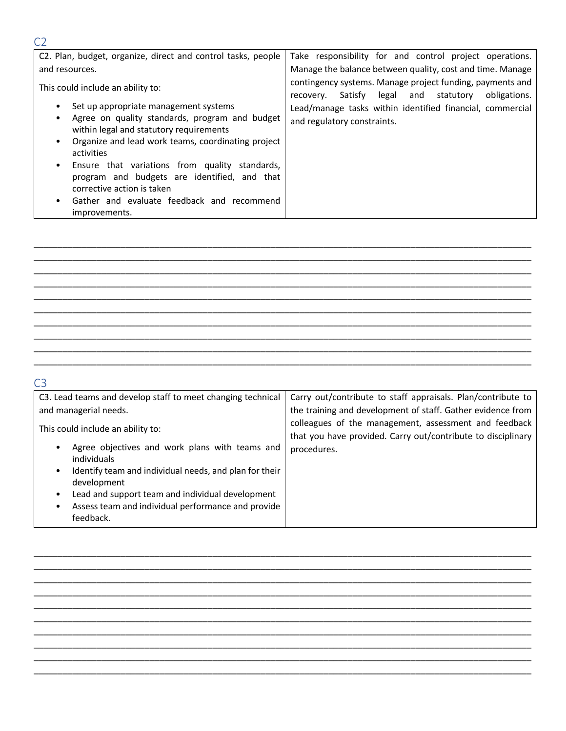| C <sub>2</sub>                                                                                                                                                                                                                                                                                                                                                                                        |                                                                                                                          |
|-------------------------------------------------------------------------------------------------------------------------------------------------------------------------------------------------------------------------------------------------------------------------------------------------------------------------------------------------------------------------------------------------------|--------------------------------------------------------------------------------------------------------------------------|
| C2. Plan, budget, organize, direct and control tasks, people                                                                                                                                                                                                                                                                                                                                          | Take responsibility for and control project operations.                                                                  |
| and resources.                                                                                                                                                                                                                                                                                                                                                                                        | Manage the balance between quality, cost and time. Manage                                                                |
| This could include an ability to:                                                                                                                                                                                                                                                                                                                                                                     | contingency systems. Manage project funding, payments and<br>obligations.<br>Satisfy<br>legal and statutory<br>recovery. |
| Set up appropriate management systems<br>Agree on quality standards, program and budget<br>within legal and statutory requirements<br>Organize and lead work teams, coordinating project<br>activities<br>Ensure that variations from quality standards,<br>program and budgets are identified, and that<br>corrective action is taken<br>Gather and evaluate feedback and recommend<br>improvements. | Lead/manage tasks within identified financial, commercial<br>and regulatory constraints.                                 |

\_\_\_\_\_\_\_\_\_\_\_\_\_\_\_\_\_\_\_\_\_\_\_\_\_\_\_\_\_\_\_\_\_\_\_\_\_\_\_\_\_\_\_\_\_\_\_\_\_\_\_\_\_\_\_\_\_\_\_\_\_\_\_\_\_\_\_\_\_\_\_\_\_\_\_\_\_\_\_\_\_\_\_\_\_\_\_\_\_\_\_\_\_\_\_\_\_\_\_\_\_\_\_ \_\_\_\_\_\_\_\_\_\_\_\_\_\_\_\_\_\_\_\_\_\_\_\_\_\_\_\_\_\_\_\_\_\_\_\_\_\_\_\_\_\_\_\_\_\_\_\_\_\_\_\_\_\_\_\_\_\_\_\_\_\_\_\_\_\_\_\_\_\_\_\_\_\_\_\_\_\_\_\_\_\_\_\_\_\_\_\_\_\_\_\_\_\_\_\_\_\_\_\_\_\_\_ \_\_\_\_\_\_\_\_\_\_\_\_\_\_\_\_\_\_\_\_\_\_\_\_\_\_\_\_\_\_\_\_\_\_\_\_\_\_\_\_\_\_\_\_\_\_\_\_\_\_\_\_\_\_\_\_\_\_\_\_\_\_\_\_\_\_\_\_\_\_\_\_\_\_\_\_\_\_\_\_\_\_\_\_\_\_\_\_\_\_\_\_\_\_\_\_\_\_\_\_\_\_\_  $\_$  , and the set of the set of the set of the set of the set of the set of the set of the set of the set of the set of the set of the set of the set of the set of the set of the set of the set of the set of the set of th  $\_$  , and the set of the set of the set of the set of the set of the set of the set of the set of the set of the set of the set of the set of the set of the set of the set of the set of the set of the set of the set of th \_\_\_\_\_\_\_\_\_\_\_\_\_\_\_\_\_\_\_\_\_\_\_\_\_\_\_\_\_\_\_\_\_\_\_\_\_\_\_\_\_\_\_\_\_\_\_\_\_\_\_\_\_\_\_\_\_\_\_\_\_\_\_\_\_\_\_\_\_\_\_\_\_\_\_\_\_\_\_\_\_\_\_\_\_\_\_\_\_\_\_\_\_\_\_\_\_\_\_\_\_\_\_ \_\_\_\_\_\_\_\_\_\_\_\_\_\_\_\_\_\_\_\_\_\_\_\_\_\_\_\_\_\_\_\_\_\_\_\_\_\_\_\_\_\_\_\_\_\_\_\_\_\_\_\_\_\_\_\_\_\_\_\_\_\_\_\_\_\_\_\_\_\_\_\_\_\_\_\_\_\_\_\_\_\_\_\_\_\_\_\_\_\_\_\_\_\_\_\_\_\_\_\_\_\_\_ \_\_\_\_\_\_\_\_\_\_\_\_\_\_\_\_\_\_\_\_\_\_\_\_\_\_\_\_\_\_\_\_\_\_\_\_\_\_\_\_\_\_\_\_\_\_\_\_\_\_\_\_\_\_\_\_\_\_\_\_\_\_\_\_\_\_\_\_\_\_\_\_\_\_\_\_\_\_\_\_\_\_\_\_\_\_\_\_\_\_\_\_\_\_\_\_\_\_\_\_\_\_\_ \_\_\_\_\_\_\_\_\_\_\_\_\_\_\_\_\_\_\_\_\_\_\_\_\_\_\_\_\_\_\_\_\_\_\_\_\_\_\_\_\_\_\_\_\_\_\_\_\_\_\_\_\_\_\_\_\_\_\_\_\_\_\_\_\_\_\_\_\_\_\_\_\_\_\_\_\_\_\_\_\_\_\_\_\_\_\_\_\_\_\_\_\_\_\_\_\_\_\_\_\_\_\_ \_\_\_\_\_\_\_\_\_\_\_\_\_\_\_\_\_\_\_\_\_\_\_\_\_\_\_\_\_\_\_\_\_\_\_\_\_\_\_\_\_\_\_\_\_\_\_\_\_\_\_\_\_\_\_\_\_\_\_\_\_\_\_\_\_\_\_\_\_\_\_\_\_\_\_\_\_\_\_\_\_\_\_\_\_\_\_\_\_\_\_\_\_\_\_\_\_\_\_\_\_\_\_

#### $\overline{C}$

| C3. Lead teams and develop staff to meet changing technical                                                                                                                                                                                                                                                                                    | Carry out/contribute to staff appraisals. Plan/contribute to                                                                         |
|------------------------------------------------------------------------------------------------------------------------------------------------------------------------------------------------------------------------------------------------------------------------------------------------------------------------------------------------|--------------------------------------------------------------------------------------------------------------------------------------|
| and managerial needs.                                                                                                                                                                                                                                                                                                                          | the training and development of staff. Gather evidence from                                                                          |
| This could include an ability to:<br>Agree objectives and work plans with teams and<br>$\bullet$<br>individuals<br>Identify team and individual needs, and plan for their<br>$\bullet$<br>development<br>Lead and support team and individual development<br>٠<br>Assess team and individual performance and provide<br>$\bullet$<br>feedback. | colleagues of the management, assessment and feedback<br>that you have provided. Carry out/contribute to disciplinary<br>procedures. |

\_\_\_\_\_\_\_\_\_\_\_\_\_\_\_\_\_\_\_\_\_\_\_\_\_\_\_\_\_\_\_\_\_\_\_\_\_\_\_\_\_\_\_\_\_\_\_\_\_\_\_\_\_\_\_\_\_\_\_\_\_\_\_\_\_\_\_\_\_\_\_\_\_\_\_\_\_\_\_\_\_\_\_\_\_\_\_\_\_\_\_\_\_\_\_\_\_\_\_\_\_\_\_ \_\_\_\_\_\_\_\_\_\_\_\_\_\_\_\_\_\_\_\_\_\_\_\_\_\_\_\_\_\_\_\_\_\_\_\_\_\_\_\_\_\_\_\_\_\_\_\_\_\_\_\_\_\_\_\_\_\_\_\_\_\_\_\_\_\_\_\_\_\_\_\_\_\_\_\_\_\_\_\_\_\_\_\_\_\_\_\_\_\_\_\_\_\_\_\_\_\_\_\_\_\_\_  $\_$  , and the set of the set of the set of the set of the set of the set of the set of the set of the set of the set of the set of the set of the set of the set of the set of the set of the set of the set of the set of th \_\_\_\_\_\_\_\_\_\_\_\_\_\_\_\_\_\_\_\_\_\_\_\_\_\_\_\_\_\_\_\_\_\_\_\_\_\_\_\_\_\_\_\_\_\_\_\_\_\_\_\_\_\_\_\_\_\_\_\_\_\_\_\_\_\_\_\_\_\_\_\_\_\_\_\_\_\_\_\_\_\_\_\_\_\_\_\_\_\_\_\_\_\_\_\_\_\_\_\_\_\_\_  $\_$  , and the set of the set of the set of the set of the set of the set of the set of the set of the set of the set of the set of the set of the set of the set of the set of the set of the set of the set of the set of th \_\_\_\_\_\_\_\_\_\_\_\_\_\_\_\_\_\_\_\_\_\_\_\_\_\_\_\_\_\_\_\_\_\_\_\_\_\_\_\_\_\_\_\_\_\_\_\_\_\_\_\_\_\_\_\_\_\_\_\_\_\_\_\_\_\_\_\_\_\_\_\_\_\_\_\_\_\_\_\_\_\_\_\_\_\_\_\_\_\_\_\_\_\_\_\_\_\_\_\_\_\_\_ \_\_\_\_\_\_\_\_\_\_\_\_\_\_\_\_\_\_\_\_\_\_\_\_\_\_\_\_\_\_\_\_\_\_\_\_\_\_\_\_\_\_\_\_\_\_\_\_\_\_\_\_\_\_\_\_\_\_\_\_\_\_\_\_\_\_\_\_\_\_\_\_\_\_\_\_\_\_\_\_\_\_\_\_\_\_\_\_\_\_\_\_\_\_\_\_\_\_\_\_\_\_\_ \_\_\_\_\_\_\_\_\_\_\_\_\_\_\_\_\_\_\_\_\_\_\_\_\_\_\_\_\_\_\_\_\_\_\_\_\_\_\_\_\_\_\_\_\_\_\_\_\_\_\_\_\_\_\_\_\_\_\_\_\_\_\_\_\_\_\_\_\_\_\_\_\_\_\_\_\_\_\_\_\_\_\_\_\_\_\_\_\_\_\_\_\_\_\_\_\_\_\_\_\_\_\_ \_\_\_\_\_\_\_\_\_\_\_\_\_\_\_\_\_\_\_\_\_\_\_\_\_\_\_\_\_\_\_\_\_\_\_\_\_\_\_\_\_\_\_\_\_\_\_\_\_\_\_\_\_\_\_\_\_\_\_\_\_\_\_\_\_\_\_\_\_\_\_\_\_\_\_\_\_\_\_\_\_\_\_\_\_\_\_\_\_\_\_\_\_\_\_\_\_\_\_\_\_\_\_  $\_$  , and the set of the set of the set of the set of the set of the set of the set of the set of the set of the set of the set of the set of the set of the set of the set of the set of the set of the set of the set of th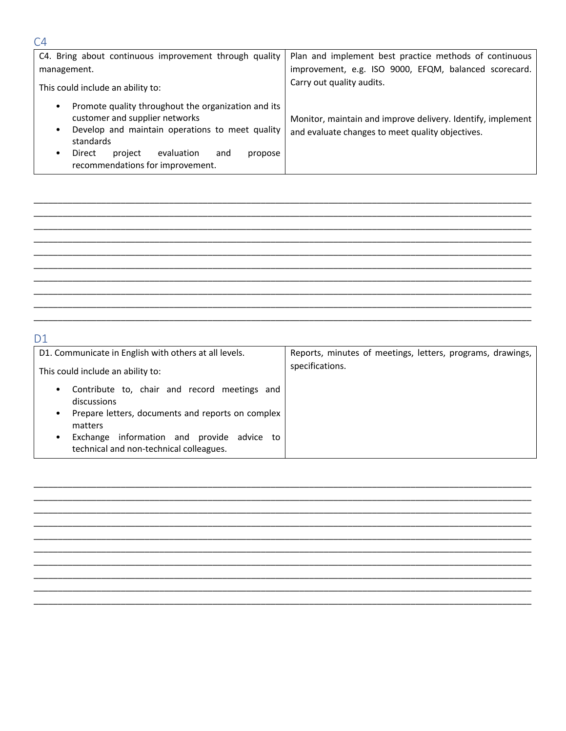| C4. Bring about continuous improvement through quality                                                                                                                                                                                                                        | Plan and implement best practice methods of continuous                                                          |
|-------------------------------------------------------------------------------------------------------------------------------------------------------------------------------------------------------------------------------------------------------------------------------|-----------------------------------------------------------------------------------------------------------------|
| management.                                                                                                                                                                                                                                                                   | improvement, e.g. ISO 9000, EFQM, balanced scorecard.                                                           |
| This could include an ability to:                                                                                                                                                                                                                                             | Carry out quality audits.                                                                                       |
| Promote quality throughout the organization and its<br>$\bullet$<br>customer and supplier networks<br>Develop and maintain operations to meet quality<br>$\bullet$<br>standards<br>evaluation<br>project<br>Direct<br>and<br>٠<br>propose<br>recommendations for improvement. | Monitor, maintain and improve delivery. Identify, implement<br>and evaluate changes to meet quality objectives. |

### $D1$

| D1. Communicate in English with others at all levels.                                                                                                                                                                                                | Reports, minutes of meetings, letters, programs, drawings, |
|------------------------------------------------------------------------------------------------------------------------------------------------------------------------------------------------------------------------------------------------------|------------------------------------------------------------|
| This could include an ability to:                                                                                                                                                                                                                    | specifications.                                            |
| Contribute to, chair and record meetings and<br>$\bullet$<br>discussions<br>Prepare letters, documents and reports on complex<br>$\bullet$<br>matters<br>information and provide<br>advice to<br>Exchange<br>technical and non-technical colleagues. |                                                            |



### $C4$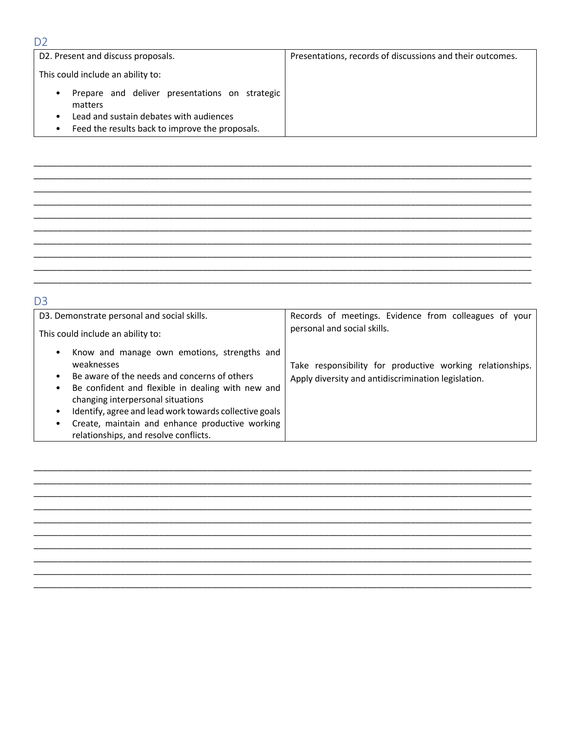### D<sub>2</sub>

| D2. Present and discuss proposals.                                                                                                                                     | Presentations, records of discussions and their outcomes. |
|------------------------------------------------------------------------------------------------------------------------------------------------------------------------|-----------------------------------------------------------|
| This could include an ability to:                                                                                                                                      |                                                           |
| Prepare and deliver presentations on strategic<br>٠<br>matters<br>Lead and sustain debates with audiences<br>٠<br>Feed the results back to improve the proposals.<br>٠ |                                                           |

## D<sub>3</sub>

| D3. Demonstrate personal and social skills.                                                                                                                                                                                                                                                                                                                                                                                | Records of meetings. Evidence from colleagues of your                                                            |
|----------------------------------------------------------------------------------------------------------------------------------------------------------------------------------------------------------------------------------------------------------------------------------------------------------------------------------------------------------------------------------------------------------------------------|------------------------------------------------------------------------------------------------------------------|
| This could include an ability to:                                                                                                                                                                                                                                                                                                                                                                                          | personal and social skills.                                                                                      |
| Know and manage own emotions, strengths and<br>$\bullet$<br>weaknesses<br>Be aware of the needs and concerns of others<br>$\bullet$<br>Be confident and flexible in dealing with new and<br>$\bullet$<br>changing interpersonal situations<br>Identify, agree and lead work towards collective goals<br>$\bullet$<br>Create, maintain and enhance productive working<br>$\bullet$<br>relationships, and resolve conflicts. | Take responsibility for productive working relationships.<br>Apply diversity and antidiscrimination legislation. |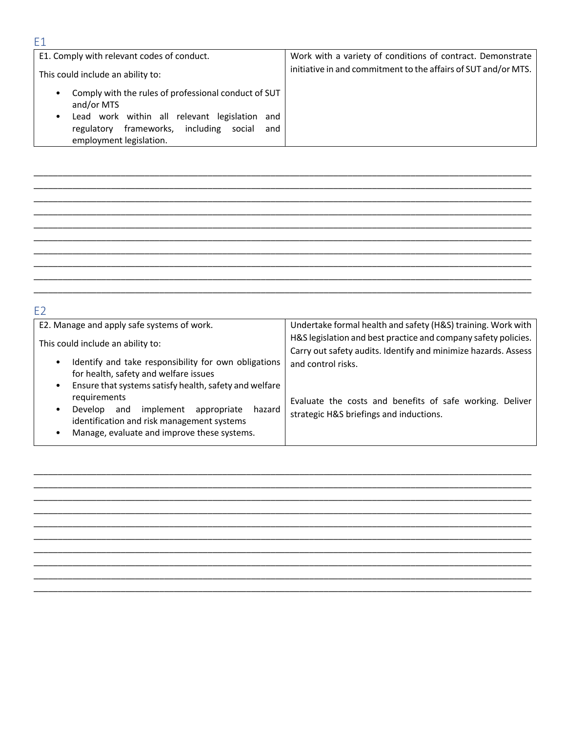#### E1. Comply with relevant codes of conduct. Work with a variety of conditions of contract. Demonstrate initiative in and commitment to the affairs of SUT and/or MTS. This could include an ability to: • Comply with the rules of professional conduct of SUT and/or MTS . Lead work within all relevant legislation and regulatory frameworks, including social and

| Ξ2                                                                                                                                                                                                                     |                                                                                                                                                        |
|------------------------------------------------------------------------------------------------------------------------------------------------------------------------------------------------------------------------|--------------------------------------------------------------------------------------------------------------------------------------------------------|
| E2. Manage and apply safe systems of work.                                                                                                                                                                             | Undertake formal health and safety (H&S) training. Work with                                                                                           |
| This could include an ability to:<br>Identify and take responsibility for own obligations<br>$\bullet$<br>for health, safety and welfare issues<br>Ensure that systems satisfy health, safety and welfare<br>$\bullet$ | H&S legislation and best practice and company safety policies.<br>Carry out safety audits. Identify and minimize hazards. Assess<br>and control risks. |
| requirements<br>implement<br>appropriate<br>Develop<br>and<br>hazard<br>$\bullet$<br>identification and risk management systems<br>Manage, evaluate and improve these systems.                                         | Evaluate the costs and benefits of safe working. Deliver<br>strategic H&S briefings and inductions.                                                    |

#### E1

employment legislation.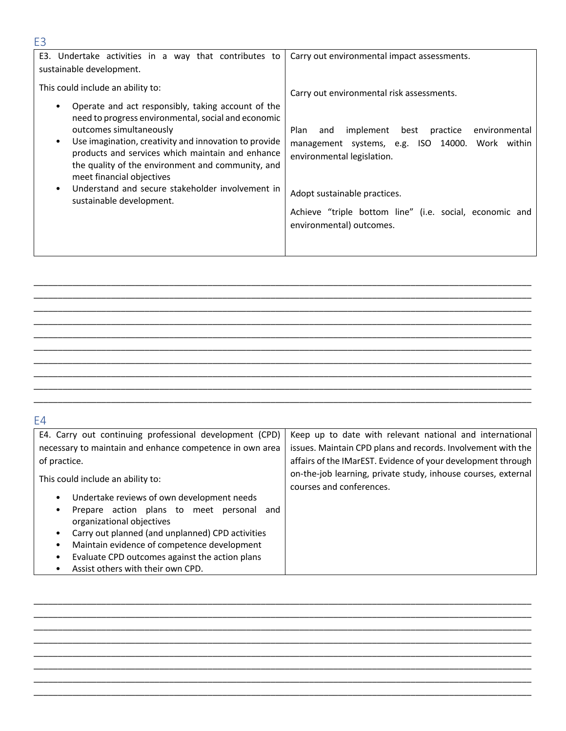| E <sub>3</sub>                                                                                                                                                                                                                                                                                                                                                                                                                        |                                                                                                                                                                                                                                                                    |
|---------------------------------------------------------------------------------------------------------------------------------------------------------------------------------------------------------------------------------------------------------------------------------------------------------------------------------------------------------------------------------------------------------------------------------------|--------------------------------------------------------------------------------------------------------------------------------------------------------------------------------------------------------------------------------------------------------------------|
| E3. Undertake activities in a way that contributes to<br>sustainable development.                                                                                                                                                                                                                                                                                                                                                     | Carry out environmental impact assessments.                                                                                                                                                                                                                        |
| This could include an ability to:                                                                                                                                                                                                                                                                                                                                                                                                     | Carry out environmental risk assessments.                                                                                                                                                                                                                          |
| Operate and act responsibly, taking account of the<br>need to progress environmental, social and economic<br>outcomes simultaneously<br>Use imagination, creativity and innovation to provide<br>٠<br>products and services which maintain and enhance<br>the quality of the environment and community, and<br>meet financial objectives<br>Understand and secure stakeholder involvement in<br>$\bullet$<br>sustainable development. | implement best<br>Plan<br>practice<br>environmental<br>and<br>management systems, e.g. ISO 14000. Work within<br>environmental legislation.<br>Adopt sustainable practices.<br>Achieve "triple bottom line" (i.e. social, economic and<br>environmental) outcomes. |
|                                                                                                                                                                                                                                                                                                                                                                                                                                       |                                                                                                                                                                                                                                                                    |

\_\_\_\_\_\_\_\_\_\_\_\_\_\_\_\_\_\_\_\_\_\_\_\_\_\_\_\_\_\_\_\_\_\_\_\_\_\_\_\_\_\_\_\_\_\_\_\_\_\_\_\_\_\_\_\_\_\_\_\_\_\_\_\_\_\_\_\_\_\_\_\_\_\_\_\_\_\_\_\_\_\_\_\_\_\_\_\_\_\_\_\_\_\_\_\_\_\_\_\_\_\_\_ \_\_\_\_\_\_\_\_\_\_\_\_\_\_\_\_\_\_\_\_\_\_\_\_\_\_\_\_\_\_\_\_\_\_\_\_\_\_\_\_\_\_\_\_\_\_\_\_\_\_\_\_\_\_\_\_\_\_\_\_\_\_\_\_\_\_\_\_\_\_\_\_\_\_\_\_\_\_\_\_\_\_\_\_\_\_\_\_\_\_\_\_\_\_\_\_\_\_\_\_\_\_\_  $\_$  , and the set of the set of the set of the set of the set of the set of the set of the set of the set of the set of the set of the set of the set of the set of the set of the set of the set of the set of the set of th  $\_$  , and the set of the set of the set of the set of the set of the set of the set of the set of the set of the set of the set of the set of the set of the set of the set of the set of the set of the set of the set of th  $\_$  , and the set of the set of the set of the set of the set of the set of the set of the set of the set of the set of the set of the set of the set of the set of the set of the set of the set of the set of the set of th \_\_\_\_\_\_\_\_\_\_\_\_\_\_\_\_\_\_\_\_\_\_\_\_\_\_\_\_\_\_\_\_\_\_\_\_\_\_\_\_\_\_\_\_\_\_\_\_\_\_\_\_\_\_\_\_\_\_\_\_\_\_\_\_\_\_\_\_\_\_\_\_\_\_\_\_\_\_\_\_\_\_\_\_\_\_\_\_\_\_\_\_\_\_\_\_\_\_\_\_\_\_\_ \_\_\_\_\_\_\_\_\_\_\_\_\_\_\_\_\_\_\_\_\_\_\_\_\_\_\_\_\_\_\_\_\_\_\_\_\_\_\_\_\_\_\_\_\_\_\_\_\_\_\_\_\_\_\_\_\_\_\_\_\_\_\_\_\_\_\_\_\_\_\_\_\_\_\_\_\_\_\_\_\_\_\_\_\_\_\_\_\_\_\_\_\_\_\_\_\_\_\_\_\_\_\_ \_\_\_\_\_\_\_\_\_\_\_\_\_\_\_\_\_\_\_\_\_\_\_\_\_\_\_\_\_\_\_\_\_\_\_\_\_\_\_\_\_\_\_\_\_\_\_\_\_\_\_\_\_\_\_\_\_\_\_\_\_\_\_\_\_\_\_\_\_\_\_\_\_\_\_\_\_\_\_\_\_\_\_\_\_\_\_\_\_\_\_\_\_\_\_\_\_\_\_\_\_\_\_ \_\_\_\_\_\_\_\_\_\_\_\_\_\_\_\_\_\_\_\_\_\_\_\_\_\_\_\_\_\_\_\_\_\_\_\_\_\_\_\_\_\_\_\_\_\_\_\_\_\_\_\_\_\_\_\_\_\_\_\_\_\_\_\_\_\_\_\_\_\_\_\_\_\_\_\_\_\_\_\_\_\_\_\_\_\_\_\_\_\_\_\_\_\_\_\_\_\_\_\_\_\_\_  $\_$  , and the set of the set of the set of the set of the set of the set of the set of the set of the set of the set of the set of the set of the set of the set of the set of the set of the set of the set of the set of th

### E4

| E4. Carry out continuing professional development (CPD)                                                                                                                                                                                                                                     | Keep up to date with relevant national and international                                  |
|---------------------------------------------------------------------------------------------------------------------------------------------------------------------------------------------------------------------------------------------------------------------------------------------|-------------------------------------------------------------------------------------------|
| necessary to maintain and enhance competence in own area                                                                                                                                                                                                                                    | issues. Maintain CPD plans and records. Involvement with the                              |
| of practice.                                                                                                                                                                                                                                                                                | affairs of the IMarEST. Evidence of your development through                              |
| This could include an ability to:<br>Undertake reviews of own development needs<br>$\bullet$<br>Prepare action plans to meet personal and<br>٠<br>organizational objectives<br>Carry out planned (and unplanned) CPD activities<br>Maintain evidence of competence development<br>$\bullet$ | on-the-job learning, private study, inhouse courses, external<br>courses and conferences. |
| Evaluate CPD outcomes against the action plans<br>$\bullet$<br>Assist others with their own CPD.                                                                                                                                                                                            |                                                                                           |
|                                                                                                                                                                                                                                                                                             |                                                                                           |

\_\_\_\_\_\_\_\_\_\_\_\_\_\_\_\_\_\_\_\_\_\_\_\_\_\_\_\_\_\_\_\_\_\_\_\_\_\_\_\_\_\_\_\_\_\_\_\_\_\_\_\_\_\_\_\_\_\_\_\_\_\_\_\_\_\_\_\_\_\_\_\_\_\_\_\_\_\_\_\_\_\_\_\_\_\_\_\_\_\_\_\_\_\_\_\_\_\_\_\_\_\_\_ \_\_\_\_\_\_\_\_\_\_\_\_\_\_\_\_\_\_\_\_\_\_\_\_\_\_\_\_\_\_\_\_\_\_\_\_\_\_\_\_\_\_\_\_\_\_\_\_\_\_\_\_\_\_\_\_\_\_\_\_\_\_\_\_\_\_\_\_\_\_\_\_\_\_\_\_\_\_\_\_\_\_\_\_\_\_\_\_\_\_\_\_\_\_\_\_\_\_\_\_\_\_\_ \_\_\_\_\_\_\_\_\_\_\_\_\_\_\_\_\_\_\_\_\_\_\_\_\_\_\_\_\_\_\_\_\_\_\_\_\_\_\_\_\_\_\_\_\_\_\_\_\_\_\_\_\_\_\_\_\_\_\_\_\_\_\_\_\_\_\_\_\_\_\_\_\_\_\_\_\_\_\_\_\_\_\_\_\_\_\_\_\_\_\_\_\_\_\_\_\_\_\_\_\_\_\_  $\_$  , and the set of the set of the set of the set of the set of the set of the set of the set of the set of the set of the set of the set of the set of the set of the set of the set of the set of the set of the set of th \_\_\_\_\_\_\_\_\_\_\_\_\_\_\_\_\_\_\_\_\_\_\_\_\_\_\_\_\_\_\_\_\_\_\_\_\_\_\_\_\_\_\_\_\_\_\_\_\_\_\_\_\_\_\_\_\_\_\_\_\_\_\_\_\_\_\_\_\_\_\_\_\_\_\_\_\_\_\_\_\_\_\_\_\_\_\_\_\_\_\_\_\_\_\_\_\_\_\_\_\_\_\_ \_\_\_\_\_\_\_\_\_\_\_\_\_\_\_\_\_\_\_\_\_\_\_\_\_\_\_\_\_\_\_\_\_\_\_\_\_\_\_\_\_\_\_\_\_\_\_\_\_\_\_\_\_\_\_\_\_\_\_\_\_\_\_\_\_\_\_\_\_\_\_\_\_\_\_\_\_\_\_\_\_\_\_\_\_\_\_\_\_\_\_\_\_\_\_\_\_\_\_\_\_\_\_ \_\_\_\_\_\_\_\_\_\_\_\_\_\_\_\_\_\_\_\_\_\_\_\_\_\_\_\_\_\_\_\_\_\_\_\_\_\_\_\_\_\_\_\_\_\_\_\_\_\_\_\_\_\_\_\_\_\_\_\_\_\_\_\_\_\_\_\_\_\_\_\_\_\_\_\_\_\_\_\_\_\_\_\_\_\_\_\_\_\_\_\_\_\_\_\_\_\_\_\_\_\_\_ \_\_\_\_\_\_\_\_\_\_\_\_\_\_\_\_\_\_\_\_\_\_\_\_\_\_\_\_\_\_\_\_\_\_\_\_\_\_\_\_\_\_\_\_\_\_\_\_\_\_\_\_\_\_\_\_\_\_\_\_\_\_\_\_\_\_\_\_\_\_\_\_\_\_\_\_\_\_\_\_\_\_\_\_\_\_\_\_\_\_\_\_\_\_\_\_\_\_\_\_\_\_\_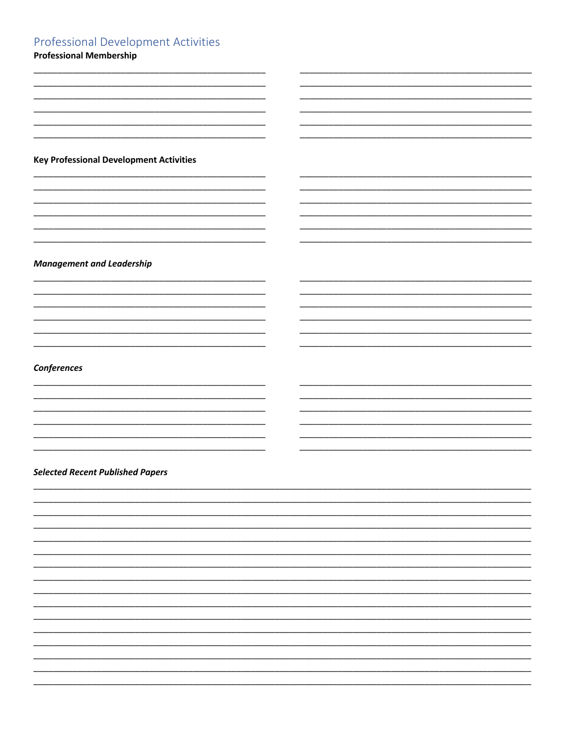### **Professional Development Activities**

 $\overline{\phantom{a}}$ 

 $\overline{\phantom{0}}$ 

 $\overline{\phantom{0}}$ 

 $\overline{\phantom{a}}$ 

 $\overline{\phantom{a}}$ 

 $\overline{\phantom{0}}$  $\overline{\phantom{a}}$ 

 $\overline{\phantom{a}}$ 

 $\overline{\phantom{a}}$ 

 $\overline{\phantom{a}}$ 

**Professional Membership** 

**Key Professional Development Activities** 

**Management and Leadership** 

Conferences

#### **Selected Recent Published Papers**